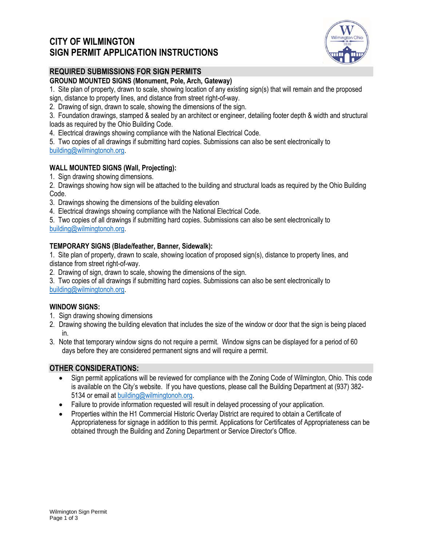# **CITY OF WILMINGTON SIGN PERMIT APPLICATION INSTRUCTIONS**



### **REQUIRED SUBMISSIONS FOR SIGN PERMITS**

### **GROUND MOUNTED SIGNS (Monument, Pole, Arch, Gateway)**

1. Site plan of property, drawn to scale, showing location of any existing sign(s) that will remain and the proposed sign, distance to property lines, and distance from street right-of-way.

2. Drawing of sign, drawn to scale, showing the dimensions of the sign.

3. Foundation drawings, stamped & sealed by an architect or engineer, detailing footer depth & width and structural loads as required by the Ohio Building Code.

4. Electrical drawings showing compliance with the National Electrical Code.

5. Two copies of all drawings if submitting hard copies. Submissions can also be sent electronically to [building@wilmingtonoh.org.](mailto:building@wilmingtonoh.org)

### **WALL MOUNTED SIGNS (Wall, Projecting):**

1. Sign drawing showing dimensions.

2. Drawings showing how sign will be attached to the building and structural loads as required by the Ohio Building Code.

3. Drawings showing the dimensions of the building elevation

4. Electrical drawings showing compliance with the National Electrical Code.

5. Two copies of all drawings if submitting hard copies. Submissions can also be sent electronically to [building@wilmingtonoh.org.](mailto:building@wilmingtonoh.org)

### **TEMPORARY SIGNS (Blade/feather, Banner, Sidewalk):**

1. Site plan of property, drawn to scale, showing location of proposed sign(s), distance to property lines, and distance from street right-of-way.

2. Drawing of sign, drawn to scale, showing the dimensions of the sign.

3. Two copies of all drawings if submitting hard copies. Submissions can also be sent electronically to [building@wilmingtonoh.org.](mailto:building@wilmingtonoh.org)

### **WINDOW SIGNS:**

- 1. Sign drawing showing dimensions
- 2. Drawing showing the building elevation that includes the size of the window or door that the sign is being placed in.
- 3. Note that temporary window signs do not require a permit. Window signs can be displayed for a period of 60 days before they are considered permanent signs and will require a permit.

### **OTHER CONSIDERATIONS:**

- Sign permit applications will be reviewed for compliance with the Zoning Code of Wilmington, Ohio. This code is available on the City's website. If you have questions, please call the Building Department at (937) 382- 5134 or email a[t building@wilmingtonoh.org.](mailto:building@wilmingtonoh.org)
- Failure to provide information requested will result in delayed processing of your application.
- Properties within the H1 Commercial Historic Overlay District are required to obtain a Certificate of Appropriateness for signage in addition to this permit. Applications for Certificates of Appropriateness can be obtained through the Building and Zoning Department or Service Director's Office.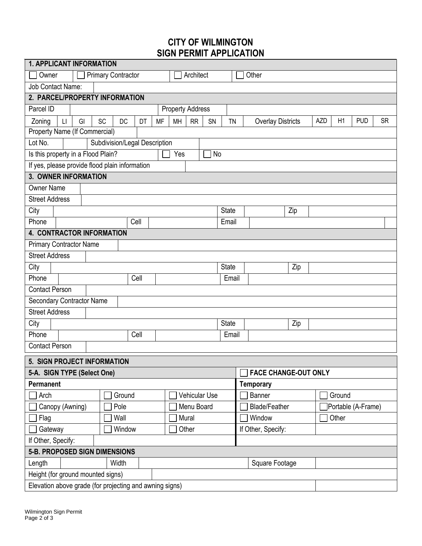# **CITY OF WILMINGTON SIGN PERMIT APPLICATION**

| <b>1. APPLICANT INFORMATION</b>                                                                                                                                                                      |        |               |              |                                               |                    |  |  |  |  |
|------------------------------------------------------------------------------------------------------------------------------------------------------------------------------------------------------|--------|---------------|--------------|-----------------------------------------------|--------------------|--|--|--|--|
| <b>Primary Contractor</b><br>Other<br>Owner<br>Architect                                                                                                                                             |        |               |              |                                               |                    |  |  |  |  |
| <b>Job Contact Name:</b>                                                                                                                                                                             |        |               |              |                                               |                    |  |  |  |  |
| 2. PARCEL/PROPERTY INFORMATION                                                                                                                                                                       |        |               |              |                                               |                    |  |  |  |  |
| Parcel ID<br><b>Property Address</b>                                                                                                                                                                 |        |               |              |                                               |                    |  |  |  |  |
| <b>SC</b><br><b>AZD</b><br>H1<br><b>PUD</b><br><b>SR</b><br>Zoning<br>GI<br><b>DC</b><br>DT<br><b>MF</b><br>MH<br><b>RR</b><br>SN<br><b>TN</b><br>$\mathsf{L}\mathsf{I}$<br><b>Overlay Districts</b> |        |               |              |                                               |                    |  |  |  |  |
| Property Name (If Commercial)                                                                                                                                                                        |        |               |              |                                               |                    |  |  |  |  |
| Lot No.<br>Subdivision/Legal Description                                                                                                                                                             |        |               |              |                                               |                    |  |  |  |  |
| Is this property in a Flood Plain?<br>Yes<br>No                                                                                                                                                      |        |               |              |                                               |                    |  |  |  |  |
| If yes, please provide flood plain information                                                                                                                                                       |        |               |              |                                               |                    |  |  |  |  |
| <b>3. OWNER INFORMATION</b>                                                                                                                                                                          |        |               |              |                                               |                    |  |  |  |  |
| <b>Owner Name</b>                                                                                                                                                                                    |        |               |              |                                               |                    |  |  |  |  |
| <b>Street Address</b>                                                                                                                                                                                |        |               |              |                                               |                    |  |  |  |  |
| City                                                                                                                                                                                                 |        |               | <b>State</b> | Zip                                           |                    |  |  |  |  |
| Phone                                                                                                                                                                                                | Cell   |               | Email        |                                               |                    |  |  |  |  |
| 4. CONTRACTOR INFORMATION                                                                                                                                                                            |        |               |              |                                               |                    |  |  |  |  |
| <b>Primary Contractor Name</b>                                                                                                                                                                       |        |               |              |                                               |                    |  |  |  |  |
| <b>Street Address</b>                                                                                                                                                                                |        |               |              |                                               |                    |  |  |  |  |
| City                                                                                                                                                                                                 |        |               | <b>State</b> | Zip                                           |                    |  |  |  |  |
| Phone                                                                                                                                                                                                | Cell   |               | Email        |                                               |                    |  |  |  |  |
| <b>Contact Person</b>                                                                                                                                                                                |        |               |              |                                               |                    |  |  |  |  |
| Secondary Contractor Name                                                                                                                                                                            |        |               |              |                                               |                    |  |  |  |  |
| <b>Street Address</b>                                                                                                                                                                                |        |               |              |                                               |                    |  |  |  |  |
| City                                                                                                                                                                                                 |        |               | <b>State</b> | Zip                                           |                    |  |  |  |  |
| Phone                                                                                                                                                                                                | Cell   |               | Email        |                                               |                    |  |  |  |  |
| <b>Contact Person</b>                                                                                                                                                                                |        |               |              |                                               |                    |  |  |  |  |
| 5. SIGN PROJECT INFORMATION                                                                                                                                                                          |        |               |              |                                               |                    |  |  |  |  |
| 5-A. SIGN TYPE (Select One)                                                                                                                                                                          |        |               |              | $\overline{ }$<br><b>FACE CHANGE-OUT ONLY</b> |                    |  |  |  |  |
| Permanent                                                                                                                                                                                            |        |               |              | <b>Temporary</b>                              |                    |  |  |  |  |
| Arch                                                                                                                                                                                                 | Ground | Vehicular Use |              | Banner                                        | Ground             |  |  |  |  |
| Canopy (Awning)                                                                                                                                                                                      | Pole   | Menu Board    |              | <b>Blade/Feather</b>                          | Portable (A-Frame) |  |  |  |  |
| Flag                                                                                                                                                                                                 | Wall   | Mural         |              | Window                                        | Other              |  |  |  |  |
| Gateway                                                                                                                                                                                              | Window | Other         |              | If Other, Specify:                            |                    |  |  |  |  |
| If Other, Specify:                                                                                                                                                                                   |        |               |              |                                               |                    |  |  |  |  |
| 5-B. PROPOSED SIGN DIMENSIONS                                                                                                                                                                        |        |               |              |                                               |                    |  |  |  |  |
| Length                                                                                                                                                                                               | Width  |               |              | Square Footage                                |                    |  |  |  |  |
| Height (for ground mounted signs)                                                                                                                                                                    |        |               |              |                                               |                    |  |  |  |  |
| Elevation above grade (for projecting and awning signs)                                                                                                                                              |        |               |              |                                               |                    |  |  |  |  |